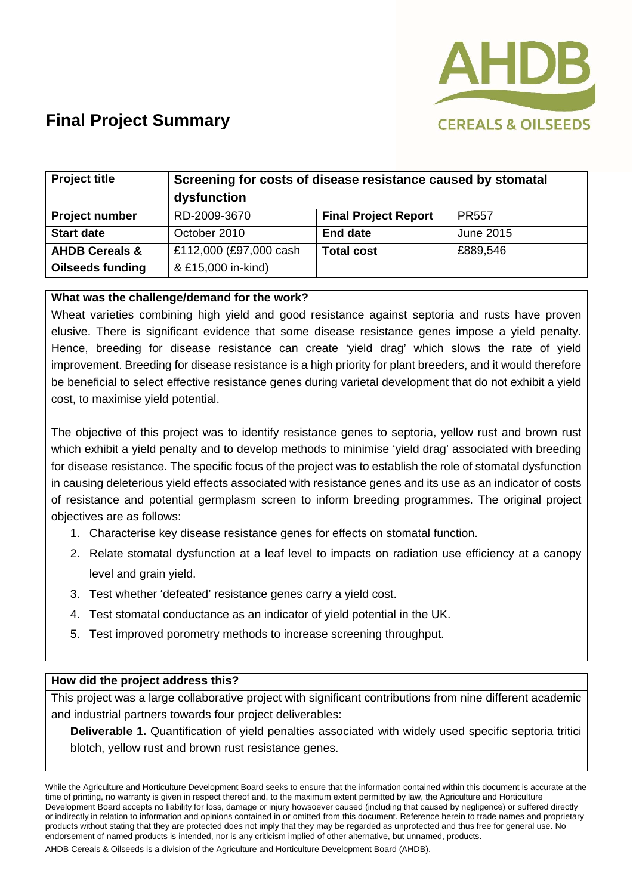

| <b>Project title</b>      | Screening for costs of disease resistance caused by stomatal<br>dysfunction |                             |              |
|---------------------------|-----------------------------------------------------------------------------|-----------------------------|--------------|
| <b>Project number</b>     | RD-2009-3670                                                                | <b>Final Project Report</b> | <b>PR557</b> |
| <b>Start date</b>         | October 2010                                                                | <b>End date</b>             | June 2015    |
| <b>AHDB Cereals &amp;</b> | £112,000 (£97,000 cash                                                      | <b>Total cost</b>           | £889,546     |
| <b>Oilseeds funding</b>   | & £15,000 in-kind)                                                          |                             |              |

#### **What was the challenge/demand for the work?**

Wheat varieties combining high yield and good resistance against septoria and rusts have proven elusive. There is significant evidence that some disease resistance genes impose a yield penalty. Hence, breeding for disease resistance can create 'yield drag' which slows the rate of yield improvement. Breeding for disease resistance is a high priority for plant breeders, and it would therefore be beneficial to select effective resistance genes during varietal development that do not exhibit a yield cost, to maximise yield potential.

The objective of this project was to identify resistance genes to septoria, yellow rust and brown rust which exhibit a yield penalty and to develop methods to minimise 'yield drag' associated with breeding for disease resistance. The specific focus of the project was to establish the role of stomatal dysfunction in causing deleterious yield effects associated with resistance genes and its use as an indicator of costs of resistance and potential germplasm screen to inform breeding programmes. The original project objectives are as follows:

- 1. Characterise key disease resistance genes for effects on stomatal function.
- 2. Relate stomatal dysfunction at a leaf level to impacts on radiation use efficiency at a canopy level and grain yield.
- 3. Test whether 'defeated' resistance genes carry a yield cost.
- 4. Test stomatal conductance as an indicator of yield potential in the UK.
- 5. Test improved porometry methods to increase screening throughput.

#### **How did the project address this?**

This project was a large collaborative project with significant contributions from nine different academic and industrial partners towards four project deliverables:

**Deliverable 1.** Quantification of yield penalties associated with widely used specific septoria tritici blotch, yellow rust and brown rust resistance genes.

While the Agriculture and Horticulture Development Board seeks to ensure that the information contained within this document is accurate at the time of printing, no warranty is given in respect thereof and, to the maximum extent permitted by law, the Agriculture and Horticulture Development Board accepts no liability for loss, damage or injury howsoever caused (including that caused by negligence) or suffered directly or indirectly in relation to information and opinions contained in or omitted from this document. Reference herein to trade names and proprietary products without stating that they are protected does not imply that they may be regarded as unprotected and thus free for general use. No endorsement of named products is intended, nor is any criticism implied of other alternative, but unnamed, products.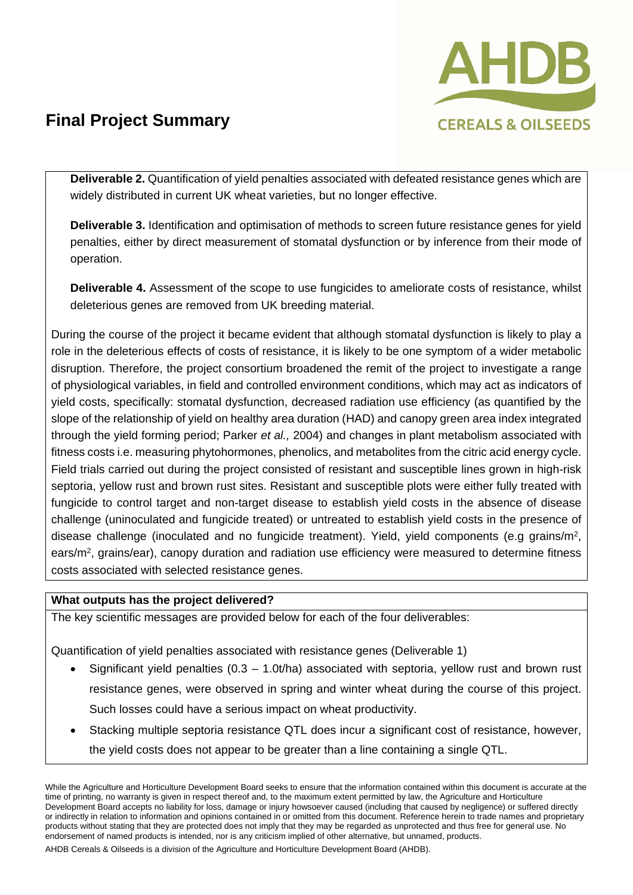

**Deliverable 2.** Quantification of yield penalties associated with defeated resistance genes which are widely distributed in current UK wheat varieties, but no longer effective.

**Deliverable 3.** Identification and optimisation of methods to screen future resistance genes for yield penalties, either by direct measurement of stomatal dysfunction or by inference from their mode of operation.

**Deliverable 4.** Assessment of the scope to use fungicides to ameliorate costs of resistance, whilst deleterious genes are removed from UK breeding material.

During the course of the project it became evident that although stomatal dysfunction is likely to play a role in the deleterious effects of costs of resistance, it is likely to be one symptom of a wider metabolic disruption. Therefore, the project consortium broadened the remit of the project to investigate a range of physiological variables, in field and controlled environment conditions, which may act as indicators of yield costs, specifically: stomatal dysfunction, decreased radiation use efficiency (as quantified by the slope of the relationship of yield on healthy area duration (HAD) and canopy green area index integrated through the yield forming period; Parker *et al.,* 2004) and changes in plant metabolism associated with fitness costs i.e. measuring phytohormones, phenolics, and metabolites from the citric acid energy cycle. Field trials carried out during the project consisted of resistant and susceptible lines grown in high-risk septoria, yellow rust and brown rust sites. Resistant and susceptible plots were either fully treated with fungicide to control target and non-target disease to establish yield costs in the absence of disease challenge (uninoculated and fungicide treated) or untreated to establish yield costs in the presence of disease challenge (inoculated and no fungicide treatment). Yield, yield components (e.g grains/m2, ears/m2, grains/ear), canopy duration and radiation use efficiency were measured to determine fitness costs associated with selected resistance genes.

#### **What outputs has the project delivered?**

The key scientific messages are provided below for each of the four deliverables:

Quantification of yield penalties associated with resistance genes (Deliverable 1)

- Significant yield penalties  $(0.3 1.0t/\text{ha})$  associated with septoria, yellow rust and brown rust resistance genes, were observed in spring and winter wheat during the course of this project. Such losses could have a serious impact on wheat productivity.
- Stacking multiple septoria resistance QTL does incur a significant cost of resistance, however, the yield costs does not appear to be greater than a line containing a single QTL.

While the Agriculture and Horticulture Development Board seeks to ensure that the information contained within this document is accurate at the time of printing, no warranty is given in respect thereof and, to the maximum extent permitted by law, the Agriculture and Horticulture Development Board accepts no liability for loss, damage or injury howsoever caused (including that caused by negligence) or suffered directly or indirectly in relation to information and opinions contained in or omitted from this document. Reference herein to trade names and proprietary products without stating that they are protected does not imply that they may be regarded as unprotected and thus free for general use. No endorsement of named products is intended, nor is any criticism implied of other alternative, but unnamed, products.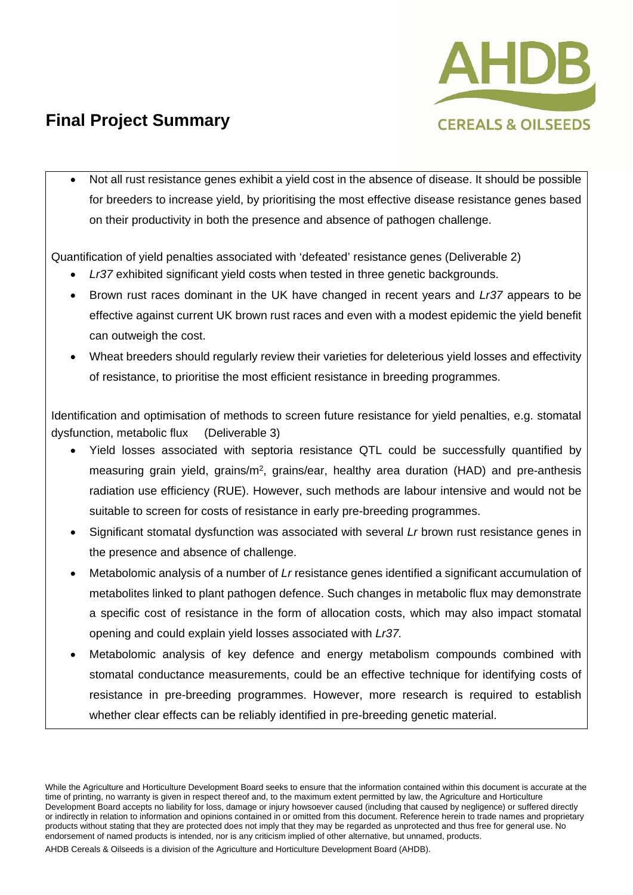

 Not all rust resistance genes exhibit a yield cost in the absence of disease. It should be possible for breeders to increase yield, by prioritising the most effective disease resistance genes based on their productivity in both the presence and absence of pathogen challenge.

Quantification of yield penalties associated with 'defeated' resistance genes (Deliverable 2)

- *Lr37* exhibited significant yield costs when tested in three genetic backgrounds.
- Brown rust races dominant in the UK have changed in recent years and *Lr37* appears to be effective against current UK brown rust races and even with a modest epidemic the yield benefit can outweigh the cost.
- Wheat breeders should regularly review their varieties for deleterious yield losses and effectivity of resistance, to prioritise the most efficient resistance in breeding programmes.

Identification and optimisation of methods to screen future resistance for yield penalties, e.g. stomatal dysfunction, metabolic flux (Deliverable 3)

- Yield losses associated with septoria resistance QTL could be successfully quantified by measuring grain yield, grains/m2, grains/ear, healthy area duration (HAD) and pre-anthesis radiation use efficiency (RUE). However, such methods are labour intensive and would not be suitable to screen for costs of resistance in early pre-breeding programmes.
- Significant stomatal dysfunction was associated with several *Lr* brown rust resistance genes in the presence and absence of challenge.
- Metabolomic analysis of a number of *Lr* resistance genes identified a significant accumulation of metabolites linked to plant pathogen defence. Such changes in metabolic flux may demonstrate a specific cost of resistance in the form of allocation costs, which may also impact stomatal opening and could explain yield losses associated with *Lr37.*
- Metabolomic analysis of key defence and energy metabolism compounds combined with stomatal conductance measurements, could be an effective technique for identifying costs of resistance in pre-breeding programmes. However, more research is required to establish whether clear effects can be reliably identified in pre-breeding genetic material.

While the Agriculture and Horticulture Development Board seeks to ensure that the information contained within this document is accurate at the time of printing, no warranty is given in respect thereof and, to the maximum extent permitted by law, the Agriculture and Horticulture Development Board accepts no liability for loss, damage or injury howsoever caused (including that caused by negligence) or suffered directly or indirectly in relation to information and opinions contained in or omitted from this document. Reference herein to trade names and proprietary products without stating that they are protected does not imply that they may be regarded as unprotected and thus free for general use. No endorsement of named products is intended, nor is any criticism implied of other alternative, but unnamed, products.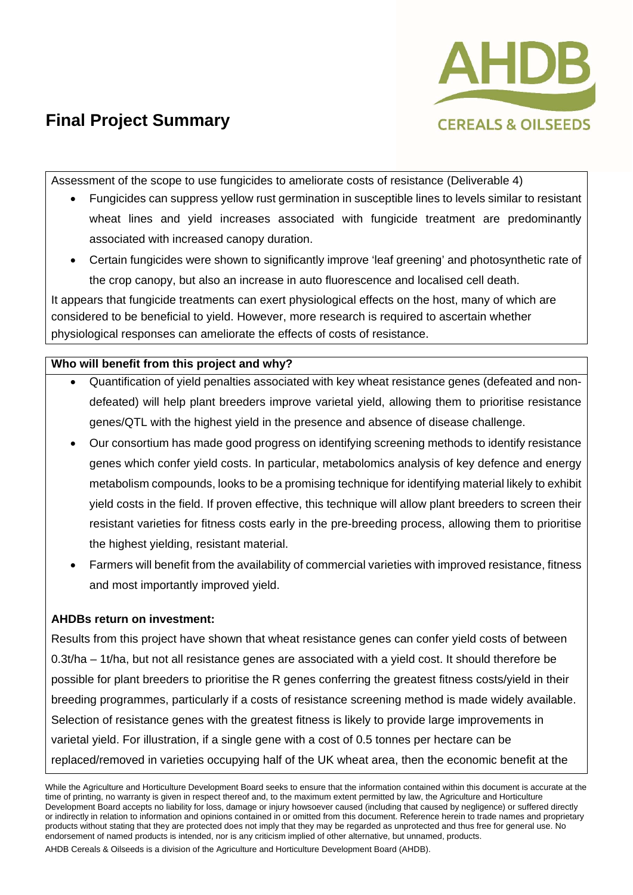

Assessment of the scope to use fungicides to ameliorate costs of resistance (Deliverable 4)

- Fungicides can suppress yellow rust germination in susceptible lines to levels similar to resistant wheat lines and yield increases associated with fungicide treatment are predominantly associated with increased canopy duration.
- Certain fungicides were shown to significantly improve 'leaf greening' and photosynthetic rate of the crop canopy, but also an increase in auto fluorescence and localised cell death.

It appears that fungicide treatments can exert physiological effects on the host, many of which are considered to be beneficial to yield. However, more research is required to ascertain whether physiological responses can ameliorate the effects of costs of resistance.

#### **Who will benefit from this project and why?**

- Quantification of yield penalties associated with key wheat resistance genes (defeated and nondefeated) will help plant breeders improve varietal yield, allowing them to prioritise resistance genes/QTL with the highest yield in the presence and absence of disease challenge.
- Our consortium has made good progress on identifying screening methods to identify resistance genes which confer yield costs. In particular, metabolomics analysis of key defence and energy metabolism compounds, looks to be a promising technique for identifying material likely to exhibit yield costs in the field. If proven effective, this technique will allow plant breeders to screen their resistant varieties for fitness costs early in the pre-breeding process, allowing them to prioritise the highest yielding, resistant material.
- Farmers will benefit from the availability of commercial varieties with improved resistance, fitness and most importantly improved yield.

### **AHDBs return on investment:**

Results from this project have shown that wheat resistance genes can confer yield costs of between 0.3t/ha – 1t/ha, but not all resistance genes are associated with a yield cost. It should therefore be possible for plant breeders to prioritise the R genes conferring the greatest fitness costs/yield in their breeding programmes, particularly if a costs of resistance screening method is made widely available. Selection of resistance genes with the greatest fitness is likely to provide large improvements in varietal yield. For illustration, if a single gene with a cost of 0.5 tonnes per hectare can be replaced/removed in varieties occupying half of the UK wheat area, then the economic benefit at the